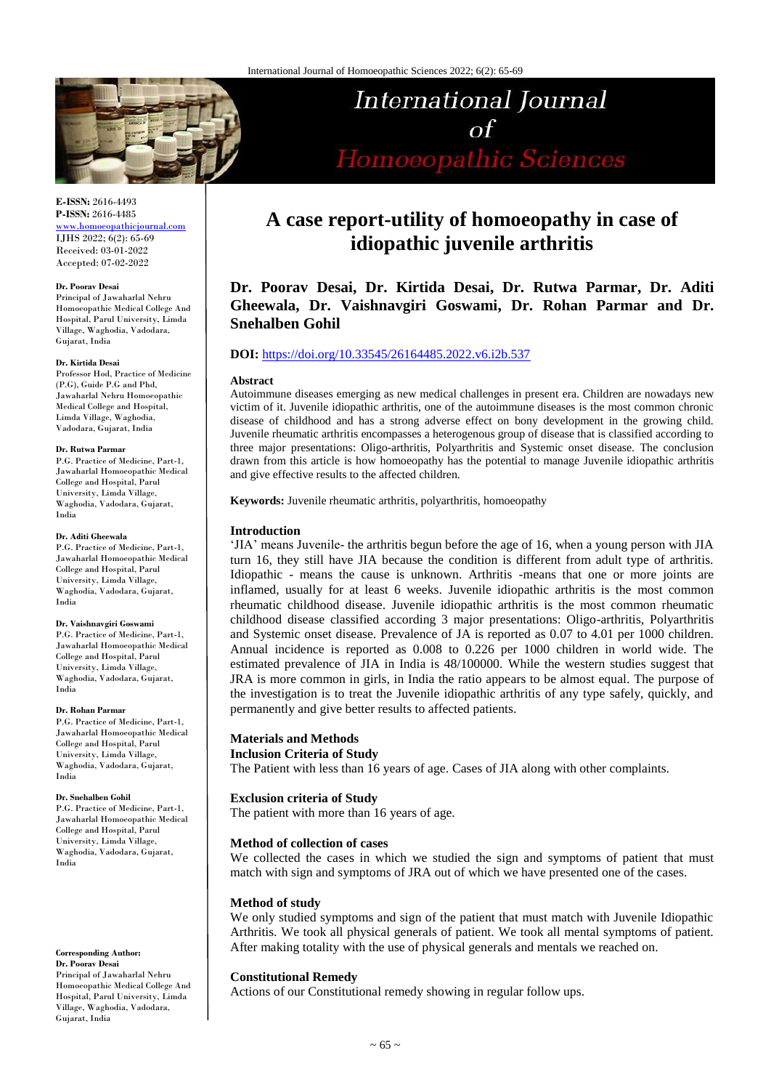

# **E-ISSN:** 2616-4493 **P-ISSN:** 2616-4485

[www.homoeopathicjournal.com](file://Server/test/homoeopathicjournal/issue/vol%204/issue%201/www.homoeopathicjournal.com) IJHS 2022; 6(2): 65-69 Received: 03-01-2022 Accepted: 07-02-2022

#### **Dr. Poorav Desai**

Principal of Jawaharlal Nehru Homoeopathic Medical College And Hospital, Parul University, Limda Village, Waghodia, Vadodara, Gujarat, India

#### **Dr. Kirtida Desai**

Professor Hod, Practice of Medicine (P.G), Guide P.G and Phd, Jawaharlal Nehru Homoeopathic Medical College and Hospital, Limda Village, Waghodia, Vadodara, Gujarat, India

#### **Dr. Rutwa Parmar**

P.G. Practice of Medicine, Part-1, Jawaharlal Homoeopathic Medical College and Hospital, Parul University, Limda Village, Waghodia, Vadodara, Gujarat, India

#### **Dr. Aditi Gheewala**

P.G. Practice of Medicine, Part-1, Jawaharlal Homoeopathic Medical College and Hospital, Parul University, Limda Village, Waghodia, Vadodara, Gujarat, India

#### **Dr. Vaishnavgiri Goswami**

P.G. Practice of Medicine, Part-1, Jawaharlal Homoeopathic Medical College and Hospital, Parul University, Limda Village, Waghodia, Vadodara, Gujarat, India

#### **Dr. Rohan Parmar**

P.G. Practice of Medicine, Part-1, Jawaharlal Homoeopathic Medical College and Hospital, Parul University, Limda Village, Waghodia, Vadodara, Gujarat, India

#### **Dr. Snehalben Gohil**

P.G. Practice of Medicine, Part-1, Jawaharlal Homoeopathic Medical College and Hospital, Parul University, Limda Village, Waghodia, Vadodara, Gujarat, India

#### **Corresponding Author:**

**Dr. Poorav Desai** Principal of Jawaharlal Nehru Homoeopathic Medical College And Hospital, Parul University, Limda Village, Waghodia, Vadodara, Gujarat, India

# **A case report-utility of homoeopathy in case of idiopathic juvenile arthritis**

**International Journal** 

 $\Omega$ 

Homoeopathic Sciences

# **Dr. Poorav Desai, Dr. Kirtida Desai, Dr. Rutwa Parmar, Dr. Aditi Gheewala, Dr. Vaishnavgiri Goswami, Dr. Rohan Parmar and Dr. Snehalben Gohil**

# **DOI:** <https://doi.org/10.33545/26164485.2022.v6.i2b.537>

#### **Abstract**

Autoimmune diseases emerging as new medical challenges in present era. Children are nowadays new victim of it. Juvenile idiopathic arthritis, one of the autoimmune diseases is the most common chronic disease of childhood and has a strong adverse effect on bony development in the growing child. Juvenile rheumatic arthritis encompasses a heterogenous group of disease that is classified according to three major presentations: Oligo-arthritis, Polyarthritis and Systemic onset disease. The conclusion drawn from this article is how homoeopathy has the potential to manage Juvenile idiopathic arthritis and give effective results to the affected children.

**Keywords:** Juvenile rheumatic arthritis, polyarthritis, homoeopathy

## **Introduction**

'JIA' means Juvenile- the arthritis begun before the age of 16, when a young person with JIA turn 16, they still have JIA because the condition is different from adult type of arthritis. Idiopathic - means the cause is unknown. Arthritis -means that one or more joints are inflamed, usually for at least 6 weeks. Juvenile idiopathic arthritis is the most common rheumatic childhood disease. Juvenile idiopathic arthritis is the most common rheumatic childhood disease classified according 3 major presentations: Oligo-arthritis, Polyarthritis and Systemic onset disease. Prevalence of JA is reported as 0.07 to 4.01 per 1000 children. Annual incidence is reported as 0.008 to 0.226 per 1000 children in world wide. The estimated prevalence of JIA in India is 48/100000. While the western studies suggest that JRA is more common in girls, in India the ratio appears to be almost equal. The purpose of the investigation is to treat the Juvenile idiopathic arthritis of any type safely, quickly, and permanently and give better results to affected patients.

# **Materials and Methods**

# **Inclusion Criteria of Study**

The Patient with less than 16 years of age. Cases of JIA along with other complaints.

# **Exclusion criteria of Study**

The patient with more than 16 years of age.

#### **Method of collection of cases**

We collected the cases in which we studied the sign and symptoms of patient that must match with sign and symptoms of JRA out of which we have presented one of the cases.

#### **Method of study**

We only studied symptoms and sign of the patient that must match with Juvenile Idiopathic Arthritis. We took all physical generals of patient. We took all mental symptoms of patient. After making totality with the use of physical generals and mentals we reached on.

#### **Constitutional Remedy**

Actions of our Constitutional remedy showing in regular follow ups.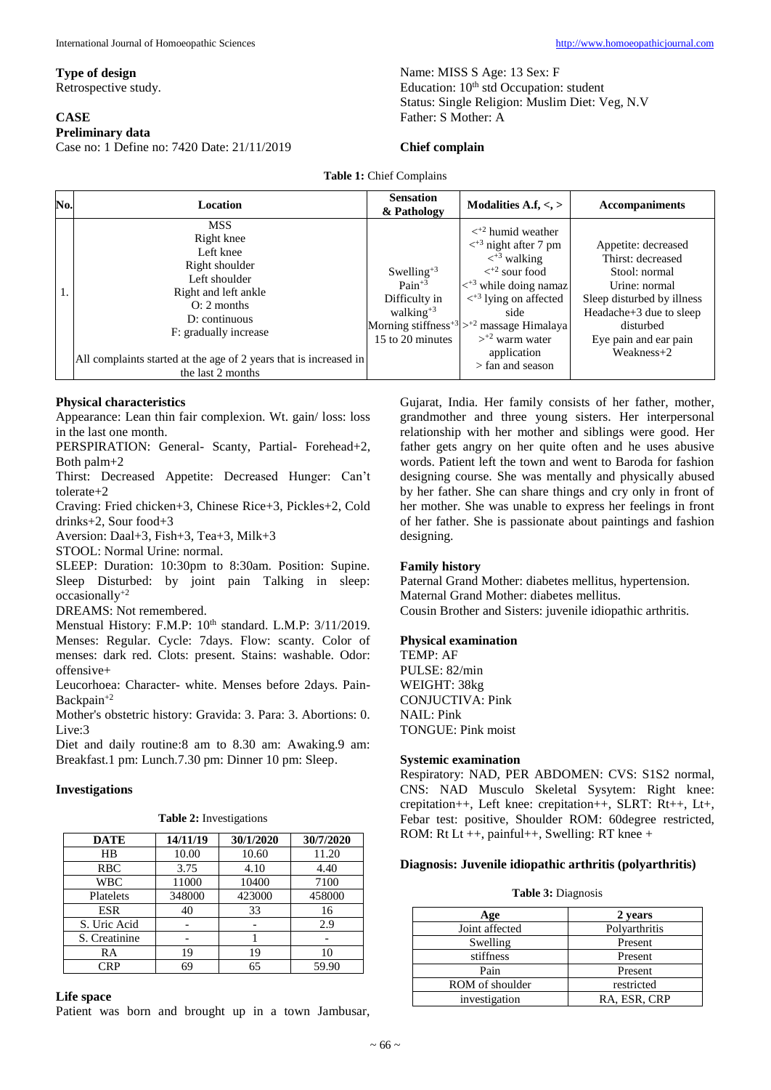# **Type of design**

Retrospective study.

#### **CASE**

## **Preliminary data**

Case no: 1 Define no: 7420 Date: 21/11/2019

Name: MISS S Age: 13 Sex: F Education: 10<sup>th</sup> std Occupation: student Status: Single Religion: Muslim Diet: Veg, N.V Father: S Mother: A

# **Chief complain**

**Table 1:** Chief Complains

| No. | Location                                                                                                                                                                                                                                                | <b>Sensation</b><br>& Pathology                                                                     | Modalities A.f, $\lt$ , $>$                                                                                                                                                                                                                                                                                                                                                                  | <b>Accompaniments</b>                                                                                                                                                                     |
|-----|---------------------------------------------------------------------------------------------------------------------------------------------------------------------------------------------------------------------------------------------------------|-----------------------------------------------------------------------------------------------------|----------------------------------------------------------------------------------------------------------------------------------------------------------------------------------------------------------------------------------------------------------------------------------------------------------------------------------------------------------------------------------------------|-------------------------------------------------------------------------------------------------------------------------------------------------------------------------------------------|
|     | <b>MSS</b><br>Right knee<br>Left knee<br>Right shoulder<br>Left shoulder<br>Right and left ankle<br>$O: 2$ months<br>$D:$ continuous<br>F: gradually increase<br>All complaints started at the age of 2 years that is increased in<br>the last 2 months | Swelling <sup>+3</sup><br>$Pain^{+3}$<br>Difficulty in<br>walking <sup>+3</sup><br>15 to 20 minutes | $\langle$ <sup>+2</sup> humid weather<br>$\langle$ <sup>+3</sup> night after 7 pm<br>$\langle$ <sup>+3</sup> walking<br>$\langle$ <sup>+2</sup> sour food<br>$\langle$ <sup>+3</sup> while doing namaz<br>$\langle$ <sup>+3</sup> lying on affected<br>side<br>Morning stiffness <sup>+3</sup> $>$ <sup>+2</sup> massage Himalaya<br>$>^{2}$ warm water<br>application<br>$>$ fan and season | Appetite: decreased<br>Thirst: decreased<br>Stool: normal<br>Urine: normal<br>Sleep disturbed by illness<br>Headache+3 due to sleep<br>disturbed<br>Eye pain and ear pain<br>$Weakness+2$ |

#### **Physical characteristics**

Appearance: Lean thin fair complexion. Wt. gain/ loss: loss in the last one month.

PERSPIRATION: General- Scanty, Partial- Forehead+2, Both palm+2

Thirst: Decreased Appetite: Decreased Hunger: Can't tolerate+2

Craving: Fried chicken+3, Chinese Rice+3, Pickles+2, Cold drinks+2, Sour food+3

Aversion: Daal+3, Fish+3, Tea+3, Milk+3

STOOL: Normal Urine: normal.

SLEEP: Duration: 10:30pm to 8:30am. Position: Supine. Sleep Disturbed: by joint pain Talking in sleep: occasionally+2

DREAMS: Not remembered.

Menstual History: F.M.P:  $10^{th}$  standard. L.M.P: 3/11/2019. Menses: Regular. Cycle: 7days. Flow: scanty. Color of menses: dark red. Clots: present. Stains: washable. Odor: offensive+

Leucorhoea: Character- white. Menses before 2days. Pain-Backpain+2

Mother's obstetric history: Gravida: 3. Para: 3. Abortions: 0. Live:3

Diet and daily routine:8 am to 8.30 am: Awaking.9 am: Breakfast.1 pm: Lunch.7.30 pm: Dinner 10 pm: Sleep.

#### **Investigations**

| Table 2: Investigations |  |
|-------------------------|--|
|-------------------------|--|

| <b>DATE</b>   | 14/11/19 | 30/1/2020 | 30/7/2020 |
|---------------|----------|-----------|-----------|
| HR            | 10.00    | 10.60     | 11.20     |
| <b>RBC</b>    | 3.75     | 4.10      | 4.40      |
| <b>WBC</b>    | 11000    | 10400     | 7100      |
| Platelets     | 348000   | 423000    | 458000    |
| <b>ESR</b>    | 40       | 33        | 16        |
| S. Uric Acid  |          |           | 2.9       |
| S. Creatinine |          |           |           |
| RA            | 19       | 19        | 10        |
| CRP           | 69       | 65        | 59.90     |

#### **Life space**

Patient was born and brought up in a town Jambusar,

Gujarat, India. Her family consists of her father, mother, grandmother and three young sisters. Her interpersonal relationship with her mother and siblings were good. Her father gets angry on her quite often and he uses abusive words. Patient left the town and went to Baroda for fashion designing course. She was mentally and physically abused by her father. She can share things and cry only in front of her mother. She was unable to express her feelings in front of her father. She is passionate about paintings and fashion designing.

#### **Family history**

Paternal Grand Mother: diabetes mellitus, hypertension. Maternal Grand Mother: diabetes mellitus. Cousin Brother and Sisters: juvenile idiopathic arthritis.

#### **Physical examination**

TEMP: AF PULSE: 82/min WEIGHT: 38kg CONJUCTIVA: Pink NAIL: Pink TONGUE: Pink moist

# **Systemic examination**

Respiratory: NAD, PER ABDOMEN: CVS: S1S2 normal, CNS: NAD Musculo Skeletal Sysytem: Right knee: crepitation++, Left knee: crepitation++, SLRT: Rt++, Lt+, Febar test: positive, Shoulder ROM: 60degree restricted, ROM: Rt Lt ++, painful++, Swelling: RT knee +

#### **Diagnosis: Juvenile idiopathic arthritis (polyarthritis)**

|  | <b>Table 3: Diagnosis</b> |
|--|---------------------------|
|--|---------------------------|

| Age             | 2 years       |
|-----------------|---------------|
| Joint affected  | Polyarthritis |
| Swelling        | Present       |
| stiffness       | Present       |
| Pain            | Present       |
| ROM of shoulder | restricted    |
| investigation   | RA, ESR, CRP  |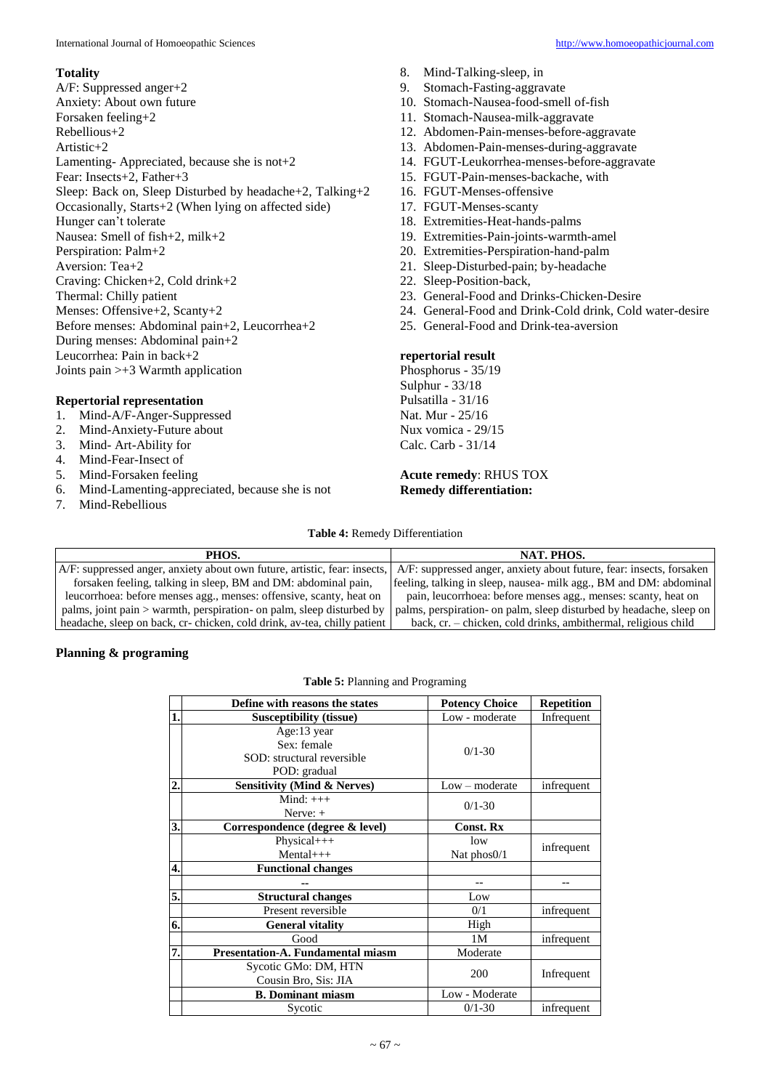## **Totality**

A/F: Suppressed anger+2 Anxiety: About own future Forsaken feeling+2 Rebellious+2 Artistic+2 Lamenting- Appreciated, because she is not+2 Fear: Insects+2, Father+3 Sleep: Back on, Sleep Disturbed by headache+2, Talking+2 Occasionally, Starts+2 (When lying on affected side) Hunger can't tolerate Nausea: Smell of fish+2, milk+2 Perspiration: Palm+2 Aversion: Tea+2 Craving: Chicken+2, Cold drink+2 Thermal: Chilly patient Menses: Offensive+2, Scanty+2 Before menses: Abdominal pain+2, Leucorrhea+2 During menses: Abdominal pain+2 Leucorrhea: Pain in back+2 Joints pain >+3 Warmth application

# **Repertorial representation**

- 1. Mind-A/F-Anger-Suppressed
- 2. Mind-Anxiety-Future about
- 3. Mind- Art-Ability for
- 4. Mind-Fear-Insect of
- 5. Mind-Forsaken feeling
- 6. Mind-Lamenting-appreciated, because she is not
- 7. Mind-Rebellious
- 8. Mind-Talking-sleep, in
- 9. Stomach-Fasting-aggravate
- 10. Stomach-Nausea-food-smell of-fish
- 11. Stomach-Nausea-milk-aggravate
- 12. Abdomen-Pain-menses-before-aggravate
- 13. Abdomen-Pain-menses-during-aggravate
- 14. FGUT-Leukorrhea-menses-before-aggravate
- 15. FGUT-Pain-menses-backache, with
- 16. FGUT-Menses-offensive
- 17. FGUT-Menses-scanty
- 18. Extremities-Heat-hands-palms
- 19. Extremities-Pain-joints-warmth-amel
- 20. Extremities-Perspiration-hand-palm
- 21. Sleep-Disturbed-pain; by-headache
- 22. Sleep-Position-back,
- 23. General-Food and Drinks-Chicken-Desire
- 24. General-Food and Drink-Cold drink, Cold water-desire
- 25. General-Food and Drink-tea-aversion

## **repertorial result**

Phosphorus - 35/19 Sulphur - 33/18 Pulsatilla - 31/16 Nat. Mur - 25/16 Nux vomica - 29/15 Calc. Carb - 31/14

#### **Acute remedy**: RHUS TOX **Remedy differentiation:**

#### **Table 4:** Remedy Differentiation

| PHOS.                                                                     | NAT. PHOS.                                                           |
|---------------------------------------------------------------------------|----------------------------------------------------------------------|
| A/F: suppressed anger, anxiety about own future, artistic, fear: insects, | A/F: suppressed anger, anxiety about future, fear: insects, forsaken |
| forsaken feeling, talking in sleep, BM and DM: abdominal pain,            | feeling, talking in sleep, nausea- milk agg., BM and DM: abdominal   |
| leucorrhoea: before menses agg., menses: offensive, scanty, heat on       | pain, leucorrhoea: before menses agg., menses: scanty, heat on       |
| palms, joint pain > warmth, perspiration- on palm, sleep disturbed by     | palms, perspiration- on palm, sleep disturbed by headache, sleep on  |
| headache, sleep on back, cr- chicken, cold drink, av-tea, chilly patient  | back, cr. – chicken, cold drinks, ambithermal, religious child       |

# **Planning & programing**

## **Table 5:** Planning and Programing

|                  | Define with reasons the states                                           | <b>Potency Choice</b> | <b>Repetition</b> |
|------------------|--------------------------------------------------------------------------|-----------------------|-------------------|
| 1                | <b>Susceptibility (tissue)</b>                                           | Low - moderate        | Infrequent        |
|                  | Age:13 year<br>Sex: female<br>SOD: structural reversible<br>POD: gradual | $0/1 - 30$            |                   |
| $\overline{2}$   | <b>Sensitivity (Mind &amp; Nerves)</b>                                   | $Low$ – moderate      | infrequent        |
|                  | Mind: $+++$<br>Nerve: $+$                                                | $0/1 - 30$            |                   |
| $\overline{3}$ . | Correspondence (degree & level)                                          | <b>Const. Rx</b>      |                   |
|                  | Physical+++<br>$Mental+++$                                               | low<br>Nat $phos0/1$  | infrequent        |
| 4.               | <b>Functional changes</b>                                                |                       |                   |
|                  | --                                                                       | --                    | --                |
| 5.               | <b>Structural changes</b>                                                | Low                   |                   |
|                  | Present reversible                                                       | 0/1                   | infrequent        |
| 6.               | <b>General vitality</b>                                                  | High                  |                   |
|                  | Good                                                                     | 1M                    | infrequent        |
| 7                | <b>Presentation-A. Fundamental miasm</b>                                 | Moderate              |                   |
|                  | Sycotic GMo: DM, HTN<br>Cousin Bro, Sis: JIA                             | 200                   | Infrequent        |
|                  | <b>B.</b> Dominant miasm                                                 | Low - Moderate        |                   |
|                  | Sycotic                                                                  | $0/1 - 30$            | infrequent        |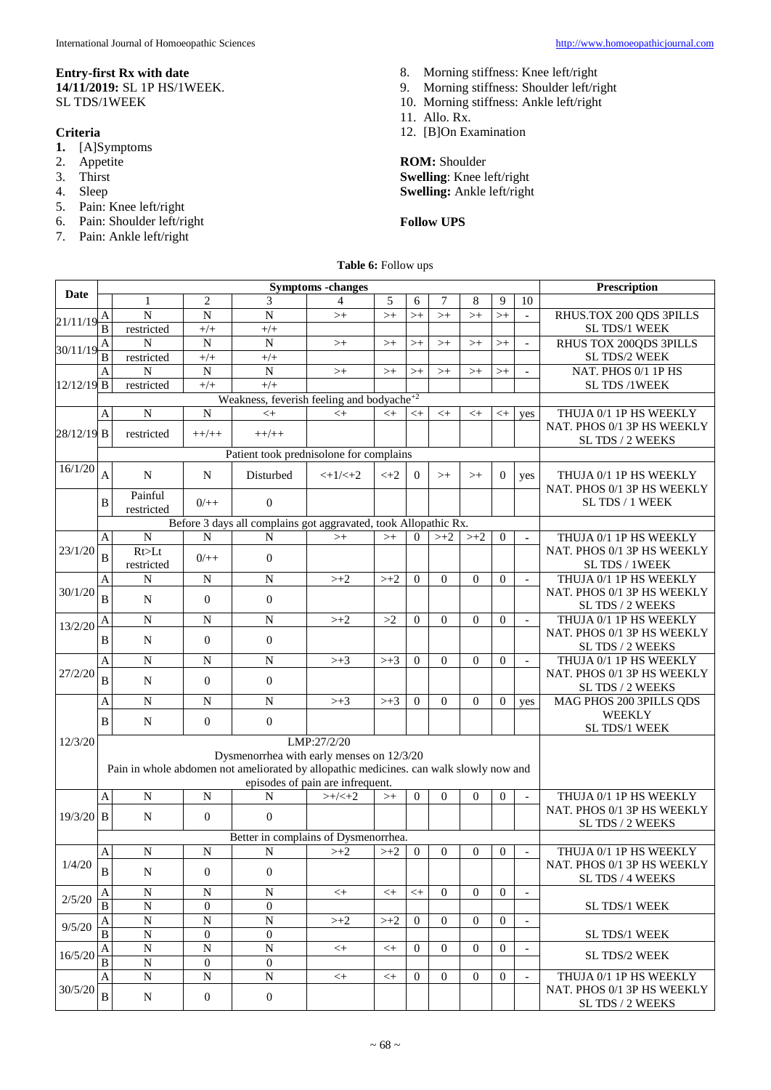# **Entry-first Rx with date 14/11/2019:** SL 1P HS/1WEEK.

SL TDS/1WEEK

# **Criteria**

- **1.** [A]Symptoms
- 2. Appetite<br>3. Thirst
- Thirst
- 4. Sleep
- 5. Pain: Knee left/right
- 6. Pain: Shoulder left/right
- 7. Pain: Ankle left/right
- 8. Morning stiffness: Knee left/right
- 9. Morning stiffness: Shoulder left/right
- 10. Morning stiffness: Ankle left/right
- 11. Allo. Rx.
- 12. [B]On Examination

**ROM:** Shoulder **Swelling**: Knee left/right **Swelling:** Ankle left/right

# **Follow UPS**

**Table 6:** Follow ups

| <b>Date</b> |                                                                                                                            |                                           | <b>Symptoms</b> -changes |                                                                 |                  |                  |                |                  |                  |                | Prescription             |                                                      |
|-------------|----------------------------------------------------------------------------------------------------------------------------|-------------------------------------------|--------------------------|-----------------------------------------------------------------|------------------|------------------|----------------|------------------|------------------|----------------|--------------------------|------------------------------------------------------|
|             |                                                                                                                            | 1                                         | $\mathbf{2}$             | 3                                                               | 4                | 5                | 6              | 7                | 8                | 9              | 10                       |                                                      |
|             | Α                                                                                                                          | $\mathbf N$                               | $\overline{N}$           | $\overline{N}$                                                  | $> +$            | $>+$             | $>^{+}$        | $>+$             | $>+$             | $>^{+}$        | $\mathbb{L}$             | RHUS.TOX 200 QDS 3PILLS                              |
| 21/11/19    | $\overline{\mathbf{B}}$                                                                                                    | restricted                                | $+/+$                    | $+/+$                                                           |                  |                  |                |                  |                  |                |                          | SL TDS/1 WEEK                                        |
| 30/11/19    | A                                                                                                                          | N                                         | $\overline{N}$           | $\mathbf N$                                                     | $> +$            | $>+$             | $>$ +          | $>+$             | $>+$             | $>$ +          |                          | RHUS TOX 200QDS 3PILLS                               |
|             | B                                                                                                                          | restricted                                | $+/+$                    | $+/+$                                                           |                  |                  |                |                  |                  |                |                          | SL TDS/2 WEEK                                        |
|             | Α                                                                                                                          | N                                         | ${\bf N}$                | N                                                               | $> +$            | $> +$            | $>$ +          | $>+$             | $>+$             | $>+$           |                          | NAT. PHOS 0/1 1P HS                                  |
| 12/12/19 B  |                                                                                                                            | restricted                                | $+/+$                    | $+/+$                                                           |                  |                  |                |                  |                  |                |                          | SL TDS /1WEEK                                        |
|             |                                                                                                                            |                                           |                          | Weakness, feverish feeling and bodyache <sup>+2</sup>           |                  |                  |                |                  |                  |                |                          |                                                      |
|             | Α                                                                                                                          | $\overline{N}$                            | ${\bf N}$                | $<$ +                                                           | $<$ +            | $<\!+$           | $< +$          | $< +$            | $< +$            | $<$ +          | yes                      | THUJA 0/1 1P HS WEEKLY                               |
| 28/12/19 B  |                                                                                                                            | restricted                                | $++/++$                  | $++/++$                                                         |                  |                  |                |                  |                  |                |                          | NAT. PHOS 0/1 3P HS WEEKLY                           |
|             |                                                                                                                            |                                           |                          | Patient took prednisolone for complains                         |                  |                  |                |                  |                  |                |                          | SL TDS / 2 WEEKS                                     |
| 16/1/20     |                                                                                                                            |                                           |                          |                                                                 |                  |                  |                |                  |                  |                |                          |                                                      |
|             | A                                                                                                                          | $\mathbf N$                               | $\mathbf N$              | Disturbed                                                       | $<+1/\leq+2$     | $<+2$            | $\overline{0}$ | $>+$             | $>$ +            | $\overline{0}$ | yes                      | THUJA 0/1 1P HS WEEKLY                               |
|             |                                                                                                                            | Painful                                   |                          |                                                                 |                  |                  |                |                  |                  |                |                          | NAT. PHOS 0/1 3P HS WEEKLY                           |
|             | B                                                                                                                          | restricted                                | $0/+$                    | $\overline{0}$                                                  |                  |                  |                |                  |                  |                |                          | SL TDS / 1 WEEK                                      |
|             |                                                                                                                            |                                           |                          | Before 3 days all complains got aggravated, took Allopathic Rx. |                  |                  |                |                  |                  |                |                          |                                                      |
|             | A                                                                                                                          | $\overline{N}$                            | N                        | N                                                               | $>$ +            | $>+$             | $\overline{0}$ | $> +2$           | $> +\sqrt{2}$    | $\mathbf{0}$   | ٠                        | THUJA 0/1 1P HS WEEKLY                               |
| 23/1/20     | B                                                                                                                          | Rt>Lt                                     | $0/+$                    | $\mathbf{0}$                                                    |                  |                  |                |                  |                  |                |                          | NAT. PHOS 0/1 3P HS WEEKLY                           |
|             |                                                                                                                            | restricted                                |                          |                                                                 |                  |                  |                |                  |                  |                |                          | SL TDS / 1WEEK                                       |
|             | A                                                                                                                          | $\mathbf N$                               | ${\bf N}$                | $\overline{N}$                                                  | $> +2$           | $> +2$           | $\overline{0}$ | $\overline{0}$   | $\mathbf{0}$     | $\overline{0}$ | $\sim$                   | THUJA 0/1 1P HS WEEKLY                               |
| 30/1/20     | B                                                                                                                          | ${\bf N}$                                 | $\theta$                 | $\mathbf{0}$                                                    |                  |                  |                |                  |                  |                |                          | NAT. PHOS 0/1 3P HS WEEKLY                           |
|             |                                                                                                                            |                                           |                          |                                                                 |                  |                  |                |                  |                  |                |                          | SL TDS / 2 WEEKS                                     |
| 13/2/20     | A                                                                                                                          | ${\bf N}$                                 | N                        | ${\bf N}$                                                       | $> +2$           | >2               | $\overline{0}$ | $\boldsymbol{0}$ | $\overline{0}$   | $\overline{0}$ | $\overline{\phantom{a}}$ | THUJA 0/1 1P HS WEEKLY<br>NAT. PHOS 0/1 3P HS WEEKLY |
|             | B                                                                                                                          | N                                         | $\overline{0}$           | $\mathbf{0}$                                                    |                  |                  |                |                  |                  |                |                          | SL TDS / 2 WEEKS                                     |
|             | A                                                                                                                          | $\mathbf N$                               | ${\bf N}$                | ${\bf N}$                                                       | $\rightarrow +3$ | $> +3$           | $\mathbf{0}$   | $\mathbf{0}$     | $\boldsymbol{0}$ | $\overline{0}$ | $\sim$                   | THUJA 0/1 1P HS WEEKLY                               |
| 27/2/20     |                                                                                                                            |                                           |                          |                                                                 |                  |                  |                |                  |                  |                |                          | NAT. PHOS 0/1 3P HS WEEKLY                           |
|             | B                                                                                                                          | N                                         | $\overline{0}$           | $\mathbf{0}$                                                    |                  |                  |                |                  |                  |                |                          | SL TDS / 2 WEEKS                                     |
|             | Α                                                                                                                          | $\mathbf N$                               | $\mathbf N$              | ${\bf N}$                                                       | $\rightarrow +3$ | $\rightarrow +3$ | $\overline{0}$ | $\overline{0}$   | $\theta$         | $\mathbf{0}$   | yes                      | MAG PHOS 200 3PILLS QDS                              |
|             | B                                                                                                                          | N                                         | $\boldsymbol{0}$         | $\mathbf{0}$                                                    |                  |                  |                |                  |                  |                |                          | <b>WEEKLY</b>                                        |
|             |                                                                                                                            |                                           |                          |                                                                 |                  |                  |                |                  |                  |                |                          | SL TDS/1 WEEK                                        |
| 12/3/20     |                                                                                                                            | LMP:27/2/20                               |                          |                                                                 |                  |                  |                |                  |                  |                |                          |                                                      |
|             |                                                                                                                            | Dysmenorrhea with early menses on 12/3/20 |                          |                                                                 |                  |                  |                |                  |                  |                |                          |                                                      |
|             | Pain in whole abdomen not ameliorated by allopathic medicines. can walk slowly now and<br>episodes of pain are infrequent. |                                           |                          |                                                                 |                  |                  |                |                  |                  |                |                          |                                                      |
|             | A                                                                                                                          | ${\bf N}$                                 | ${\bf N}$                | N                                                               | $>+/<+2$         | $>+$             | $\mathbf{0}$   | $\overline{0}$   | $\overline{0}$   | $\mathbf{0}$   | $\overline{a}$           | THUJA 0/1 1P HS WEEKLY                               |
|             |                                                                                                                            |                                           |                          |                                                                 |                  |                  |                |                  |                  |                |                          | NAT. PHOS 0/1 3P HS WEEKLY                           |
| $19/3/20$ B |                                                                                                                            | $\mathbf N$                               | $\Omega$                 | $\mathbf{0}$                                                    |                  |                  |                |                  |                  |                |                          | SL TDS / 2 WEEKS                                     |
|             |                                                                                                                            |                                           |                          | Better in complains of Dysmenorrhea.                            |                  |                  |                |                  |                  |                |                          |                                                      |
|             | A                                                                                                                          | $\mathbf N$                               | ${\bf N}$                | ${\bf N}$                                                       | $>\!+2$          | $>\!+2$          | $\mathbf{0}$   | $\overline{0}$   | $\theta$         | $\Omega$       | $\overline{\phantom{a}}$ | THUJA 0/1 1P HS WEEKLY                               |
| 1/4/20      | $\bf{B}$                                                                                                                   | N                                         | $\theta$                 | $\overline{0}$                                                  |                  |                  |                |                  |                  |                |                          | NAT. PHOS 0/1 3P HS WEEKLY                           |
|             |                                                                                                                            |                                           |                          |                                                                 |                  |                  |                |                  |                  |                |                          | SL TDS / 4 WEEKS                                     |
| 2/5/20      | A                                                                                                                          | N                                         | N                        | N                                                               | $< +$            | $< +$            | $< +$          | $\Omega$         | $\Omega$         | $\Omega$       | $\overline{\phantom{a}}$ |                                                      |
|             | B                                                                                                                          | N                                         | $\theta$                 | $\mathbf{0}$                                                    |                  |                  |                |                  |                  |                |                          | <b>SL TDS/1 WEEK</b>                                 |
| 9/5/20      | A<br>B                                                                                                                     | $\mathbf N$<br>$\overline{N}$             | N<br>$\Omega$            | ${\bf N}$<br>$\mathbf{0}$                                       | $> +2$           | $> +2$           | $\overline{0}$ | $\Omega$         | $\Omega$         | $\Omega$       |                          | <b>SL TDS/1 WEEK</b>                                 |
|             |                                                                                                                            | $\overline{N}$                            | $\mathbf N$              | $\overline{N}$                                                  |                  |                  | $\overline{0}$ | $\overline{0}$   | $\mathbf{0}$     | $\overline{0}$ | $\overline{a}$           |                                                      |
| 16/5/20     | A<br>B                                                                                                                     | $\mathbf N$                               | $\overline{0}$           | $\mathbf{0}$                                                    | $< +$            | $< +$            |                |                  |                  |                |                          | SL TDS/2 WEEK                                        |
|             | A                                                                                                                          | N                                         | N                        | N                                                               | $<$ +            | $< +$            | $\overline{0}$ | $\mathbf{0}$     | $\mathbf{0}$     | $\overline{0}$ | $\overline{\phantom{a}}$ | THUJA 0/1 1P HS WEEKLY                               |
| 30/5/20     |                                                                                                                            |                                           |                          |                                                                 |                  |                  |                |                  |                  |                |                          | NAT. PHOS 0/1 3P HS WEEKLY                           |
|             | $\overline{B}$                                                                                                             | $\mathbf N$                               | $\boldsymbol{0}$         | $\mathbf{0}$                                                    |                  |                  |                |                  |                  |                |                          | SL TDS / 2 WEEKS                                     |